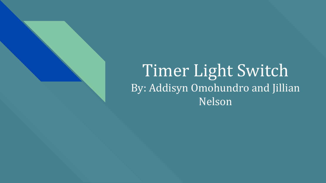# Timer Light Switch By: Addisyn Omohundro and Jillian Nelson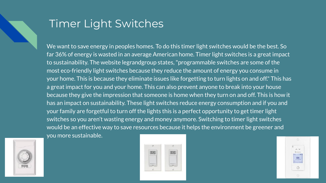## Timer Light Switches

We want to save energy in peoples homes. To do this timer light switches would be the best. So far 36% of energy is wasted in an average American home. Timer light switches is a great impact to sustainability. The website legrandgroup states, "programmable switches are some of the most eco-friendly light switches because they reduce the amount of energy you consume in your home. This is because they eliminate issues like forgetting to turn lights on and off." This has a great impact for you and your home. This can also prevent anyone to break into your house because they give the impression that someone is home when they turn on and off. This is how it has an impact on sustainability. These light switches reduce energy consumption and if you and your family are forgetful to turn off the lights this is a perfect opportunity to get timer light switches so you aren't wasting energy and money anymore. Switching to timer light switches would be an effective way to save resources because it helps the environment be greener and you more sustainable.





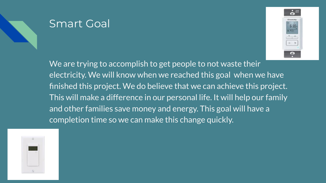### Smart Goal



We are trying to accomplish to get people to not waste their electricity. We will know when we reached this goal when we have finished this project. We do believe that we can achieve this project. This will make a difference in our personal life. It will help our family and other families save money and energy. This goal will have a completion time so we can make this change quickly.

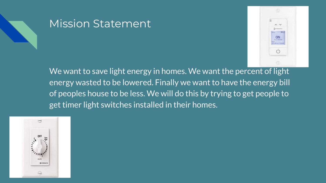

### Mission Statement



We want to save light energy in homes. We want the percent of light energy wasted to be lowered. Finally we want to have the energy bill of peoples house to be less. We will do this by trying to get people to get timer light switches installed in their homes.

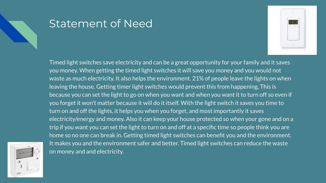### Statement of Need



Timed light switches save electricity and can be a great opportunity for your family and it saves you money. When getting the timed light switches it will save you money and you would not waste as much electricity. It also helps the environment. 21% of people leave the lights on when leaving the house. Getting timer light switches would prevent this from happening, This is because you can set the light to go on when you want and when you want it to turn off so even if you forget it won't matter because it will do it itself. With the light switch it saves you time to turn on and off the lights, it helps you when you forget, and most importantly it saves electricity/energy and money. Also it can keep your house protected so when your gone and on a trip if you want you can set the light to turn on and off at a specific time so people think you are home so no one can break in. Getting timed light switches can benefit you and the environment. It makes you and the environment safer and better. Timed light switches can reduce the waste on money and and electricity.

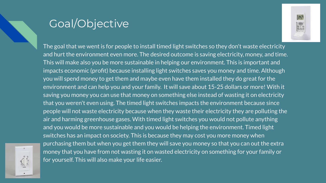## Goal/Objective



The goal that we went is for people to install timed light switches so they don't waste electricity and hurt the environment even more. The desired outcome is saving electricity, money, and time. This will make also you be more sustainable in helping our environment. This is important and impacts economic (profit) because installing light switches saves you money and time. Although you will spend money to get them and maybe even have them installed they do great for the environment and can help you and your family. It will save about 15-25 dollars or more! With it saving you money you can use that money on something else instead of wasting it on electricity that you weren't even using. The timed light switches impacts the environment because since people will not waste electricity because when they waste their electricity they are polluting the air and harming greenhouse gases. With timed light switches you would not pollute anything and you would be more sustainable and you would be helping the environment. Timed light switches has an impact on society. This is because they may cost you more money when purchasing them but when you get them they will save you money so that you can out the extra money that you have from not wasting it on wasted electricity on something for your family or for yourself. This will also make your life easier.

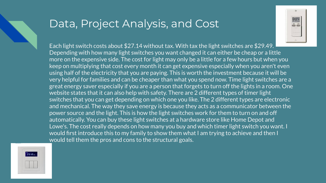### Data, Project Analysis, and Cost



Each light switch costs about \$27.14 without tax. With tax the light switches are \$29.49. Depending with how many light switches you want changed it can either be cheap or a little more on the expensive side. The cost for light may only be a little for a few hours but when you keep on multiplying that cost every month it can get expensive especially when you aren't even using half of the electricity that you are paying. This is worth the investment because it will be very helpful for families and can be cheaper than what you spend now. Time light switches are a great energy saver especially if you are a person that forgets to turn off the lights in a room. One website states that it can also help with safety. There are 2 different types of timer light switches that you can get depending on which one you like. The 2 different types are electronic and mechanical. The way they save energy is because they acts as a communicator between the power source and the light. This is how the light switches work for them to turn on and off automatically. You can buy these light switches at a hardware store like Home Depot and Lowe's. The cost really depends on how many you buy and which timer light switch you want. I would first introduce this to my family to show them what I am trying to achieve and then I would tell them the pros and cons to the structural goals.

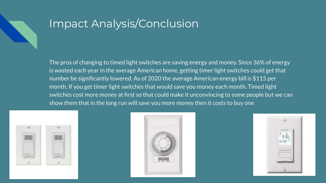# Impact Analysis/Conclusion

The pros of changing to timed light switches are saving energy and money. Since 36% of energy is wasted each year in the average American home, getting timer light switches could get that number be significantly lowered. As of 2020 the average American energy bill is \$115 per month. If you get timer light switches that would save you money each month. Timed light switches cost more money at first so that could make it unconvincing to some people but we can show them that in the long run will save you more money then it costs to buy one